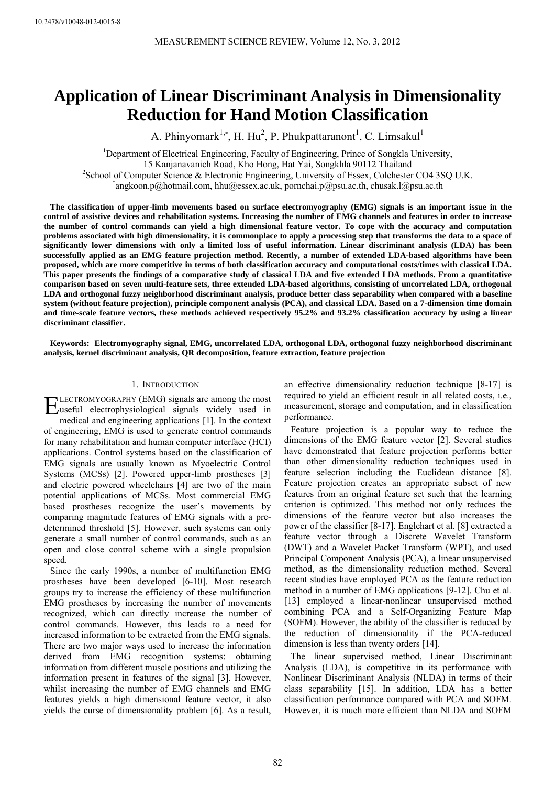# **Application of Linear Discriminant Analysis in Dimensionality Reduction for Hand Motion Classification**

A. Phinyomark<sup>1,\*</sup>, H. Hu<sup>2</sup>, P. Phukpattaranont<sup>1</sup>, C. Limsakul<sup>1</sup>

<sup>1</sup>Department of Electrical Engineering, Faculty of Engineering, Prince of Songkla University, 15 Kanjanavanich Road, Kho Hong, Hat Yai, Songkhla 90112 Thailand 2  $\textdegree$ School of Computer Science & Electronic Engineering, University of Essex, Colchester CO4 3SQ U.K. angkoon.p@hotmail.com, hhu@essex.ac.uk, pornchai.p@psu.ac.th, chusak.l@psu.ac.th

**The classification of upper-limb movements based on surface electromyography (EMG) signals is an important issue in the control of assistive devices and rehabilitation systems. Increasing the number of EMG channels and features in order to increase the number of control commands can yield a high dimensional feature vector. To cope with the accuracy and computation problems associated with high dimensionality, it is commonplace to apply a processing step that transforms the data to a space of significantly lower dimensions with only a limited loss of useful information. Linear discriminant analysis (LDA) has been successfully applied as an EMG feature projection method. Recently, a number of extended LDA-based algorithms have been proposed, which are more competitive in terms of both classification accuracy and computational costs/times with classical LDA. This paper presents the findings of a comparative study of classical LDA and five extended LDA methods. From a quantitative comparison based on seven multi-feature sets, three extended LDA-based algorithms, consisting of uncorrelated LDA, orthogonal LDA and orthogonal fuzzy neighborhood discriminant analysis, produce better class separability when compared with a baseline system (without feature projection), principle component analysis (PCA), and classical LDA. Based on a 7-dimension time domain and time-scale feature vectors, these methods achieved respectively 95.2% and 93.2% classification accuracy by using a linear discriminant classifier.**

**Keywords: Electromyography signal, EMG, uncorrelated LDA, orthogonal LDA, orthogonal fuzzy neighborhood discriminant analysis, kernel discriminant analysis, QR decomposition, feature extraction, feature projection** 

#### 1. INTRODUCTION

LECTROMYOGRAPHY (EMG) signals are among the most  $\sum_{\text{Useful}}^{\text{LECTROMYOGRAPHY}}$  (EMG) signals are among the most<br>medial electrophysiological signals widely used in<br>medial and angipeering applications [1]. In the content medical and engineering applications [1]. In the context of engineering, EMG is used to generate control commands for many rehabilitation and human computer interface (HCI) applications. Control systems based on the classification of EMG signals are usually known as Myoelectric Control Systems (MCSs) [2]. Powered upper-limb prostheses [3] and electric powered wheelchairs [4] are two of the main potential applications of MCSs. Most commercial EMG based prostheses recognize the user's movements by comparing magnitude features of EMG signals with a predetermined threshold [5]. However, such systems can only generate a small number of control commands, such as an open and close control scheme with a single propulsion speed.

Since the early 1990s, a number of multifunction EMG prostheses have been developed [6-10]. Most research groups try to increase the efficiency of these multifunction EMG prostheses by increasing the number of movements recognized, which can directly increase the number of control commands. However, this leads to a need for increased information to be extracted from the EMG signals. There are two major ways used to increase the information derived from EMG recognition systems: obtaining information from different muscle positions and utilizing the information present in features of the signal [3]. However, whilst increasing the number of EMG channels and EMG features yields a high dimensional feature vector, it also yields the curse of dimensionality problem [6]. As a result,

an effective dimensionality reduction technique [8-17] is required to yield an efficient result in all related costs, i.e., measurement, storage and computation, and in classification performance.

Feature projection is a popular way to reduce the dimensions of the EMG feature vector [2]. Several studies have demonstrated that feature projection performs better than other dimensionality reduction techniques used in feature selection including the Euclidean distance [8]. Feature projection creates an appropriate subset of new features from an original feature set such that the learning criterion is optimized. This method not only reduces the dimensions of the feature vector but also increases the power of the classifier [8-17]. Englehart et al. [8] extracted a feature vector through a Discrete Wavelet Transform (DWT) and a Wavelet Packet Transform (WPT), and used Principal Component Analysis (PCA), a linear unsupervised method, as the dimensionality reduction method. Several recent studies have employed PCA as the feature reduction method in a number of EMG applications [9-12]. Chu et al. [13] employed a linear-nonlinear unsupervised method combining PCA and a Self-Organizing Feature Map (SOFM). However, the ability of the classifier is reduced by the reduction of dimensionality if the PCA-reduced dimension is less than twenty orders [14].

The linear supervised method, Linear Discriminant Analysis (LDA), is competitive in its performance with Nonlinear Discriminant Analysis (NLDA) in terms of their class separability [15]. In addition, LDA has a better classification performance compared with PCA and SOFM. However, it is much more efficient than NLDA and SOFM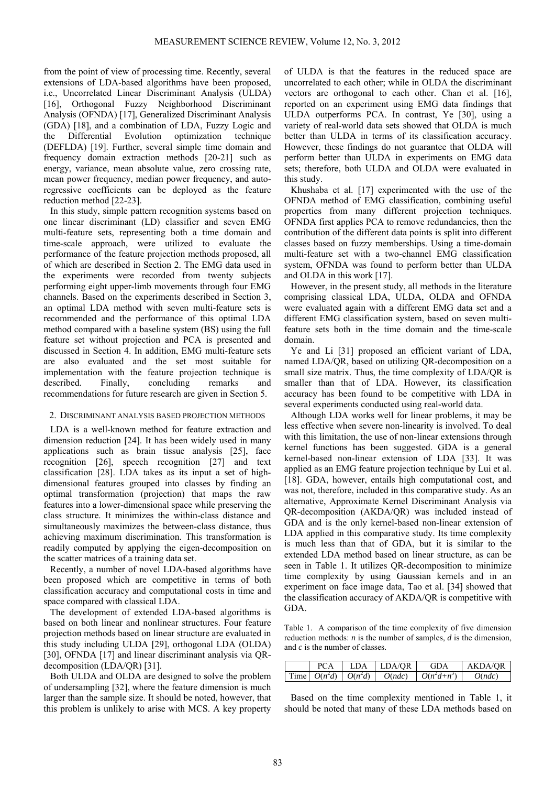from the point of view of processing time. Recently, several extensions of LDA-based algorithms have been proposed, i.e., Uncorrelated Linear Discriminant Analysis (ULDA) [16], Orthogonal Fuzzy Neighborhood Discriminant Analysis (OFNDA) [17], Generalized Discriminant Analysis (GDA) [18], and a combination of LDA, Fuzzy Logic and the Differential Evolution optimization technique (DEFLDA) [19]. Further, several simple time domain and frequency domain extraction methods [20-21] such as energy, variance, mean absolute value, zero crossing rate, mean power frequency, median power frequency, and autoregressive coefficients can be deployed as the feature reduction method [22-23].

In this study, simple pattern recognition systems based on one linear discriminant (LD) classifier and seven EMG multi-feature sets, representing both a time domain and time-scale approach, were utilized to evaluate the performance of the feature projection methods proposed, all of which are described in Section 2. The EMG data used in the experiments were recorded from twenty subjects performing eight upper-limb movements through four EMG channels. Based on the experiments described in Section 3, an optimal LDA method with seven multi-feature sets is recommended and the performance of this optimal LDA method compared with a baseline system (BS) using the full feature set without projection and PCA is presented and discussed in Section 4. In addition, EMG multi-feature sets are also evaluated and the set most suitable for implementation with the feature projection technique is described. Finally, concluding remarks and recommendations for future research are given in Section 5.

#### 2. DISCRIMINANT ANALYSIS BASED PROJECTION METHODS

LDA is a well-known method for feature extraction and dimension reduction [24]. It has been widely used in many applications such as brain tissue analysis [25], face recognition [26], speech recognition [27] and text classification [28]. LDA takes as its input a set of highdimensional features grouped into classes by finding an optimal transformation (projection) that maps the raw features into a lower-dimensional space while preserving the class structure. It minimizes the within-class distance and simultaneously maximizes the between-class distance, thus achieving maximum discrimination. This transformation is readily computed by applying the eigen-decomposition on the scatter matrices of a training data set.

Recently, a number of novel LDA-based algorithms have been proposed which are competitive in terms of both classification accuracy and computational costs in time and space compared with classical LDA.

The development of extended LDA-based algorithms is based on both linear and nonlinear structures. Four feature projection methods based on linear structure are evaluated in this study including ULDA [29], orthogonal LDA (OLDA) [30], OFNDA [17] and linear discriminant analysis via QRdecomposition (LDA/QR) [31].

Both ULDA and OLDA are designed to solve the problem of undersampling [32], where the feature dimension is much larger than the sample size. It should be noted, however, that this problem is unlikely to arise with MCS. A key property of ULDA is that the features in the reduced space are uncorrelated to each other; while in OLDA the discriminant vectors are orthogonal to each other. Chan et al. [16], reported on an experiment using EMG data findings that ULDA outperforms PCA. In contrast, Ye [30], using a variety of real-world data sets showed that OLDA is much better than ULDA in terms of its classification accuracy. However, these findings do not guarantee that OLDA will perform better than ULDA in experiments on EMG data sets; therefore, both ULDA and OLDA were evaluated in this study.

Khushaba et al. [17] experimented with the use of the OFNDA method of EMG classification, combining useful properties from many different projection techniques. OFNDA first applies PCA to remove redundancies, then the contribution of the different data points is split into different classes based on fuzzy memberships. Using a time-domain multi-feature set with a two-channel EMG classification system, OFNDA was found to perform better than ULDA and OLDA in this work [17].

However, in the present study, all methods in the literature comprising classical LDA, ULDA, OLDA and OFNDA were evaluated again with a different EMG data set and a different EMG classification system, based on seven multifeature sets both in the time domain and the time-scale domain.

Ye and Li [31] proposed an efficient variant of LDA, named LDA/QR, based on utilizing QR-decomposition on a small size matrix. Thus, the time complexity of LDA/QR is smaller than that of LDA. However, its classification accuracy has been found to be competitive with LDA in several experiments conducted using real-world data.

Although LDA works well for linear problems, it may be less effective when severe non-linearity is involved. To deal with this limitation, the use of non-linear extensions through kernel functions has been suggested. GDA is a general kernel-based non-linear extension of LDA [33]. It was applied as an EMG feature projection technique by Lui et al. [18]. GDA, however, entails high computational cost, and was not, therefore, included in this comparative study. As an alternative, Approximate Kernel Discriminant Analysis via QR-decomposition (AKDA/QR) was included instead of GDA and is the only kernel-based non-linear extension of LDA applied in this comparative study. Its time complexity is much less than that of GDA, but it is similar to the extended LDA method based on linear structure, as can be seen in Table 1. It utilizes QR-decomposition to minimize time complexity by using Gaussian kernels and in an experiment on face image data, Tao et al. [34] showed that the classification accuracy of AKDA/QR is competitive with GDA.

Table 1. A comparison of the time complexity of five dimension reduction methods: *n* is the number of samples, *d* is the dimension, and *c* is the number of classes.

|  | LDA                                      | <b>LDA/OR</b> | GDA           | <b>AKDA/OR</b> |
|--|------------------------------------------|---------------|---------------|----------------|
|  | $\text{Time}$ $O(n^2d)$ $\mid$ $O(n^2d)$ | O(n d c)      | $O(n^2d+n^3)$ | O(n d c)       |

Based on the time complexity mentioned in Table 1, it should be noted that many of these LDA methods based on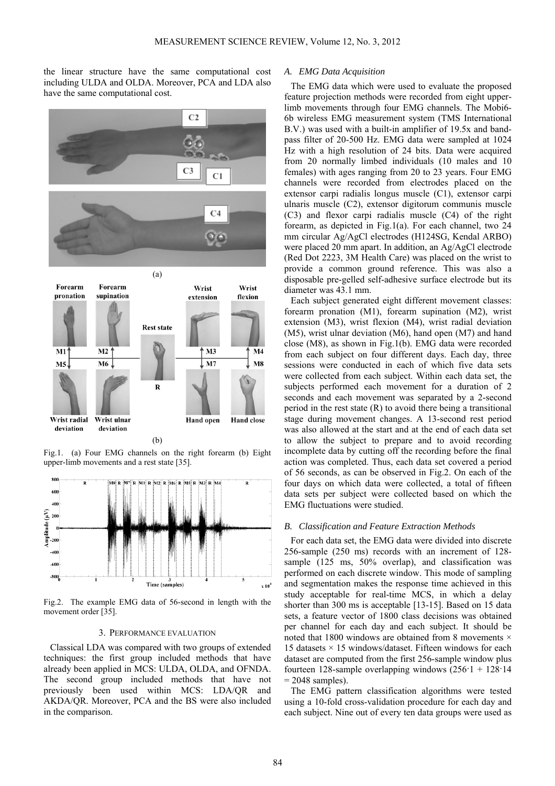the linear structure have the same computational cost including ULDA and OLDA. Moreover, PCA and LDA also have the same computational cost.



Fig.1. (a) Four EMG channels on the right forearm (b) Eight upper-limb movements and a rest state [35].



Fig.2. The example EMG data of 56-second in length with the movement order [35].

## 3. PERFORMANCE EVALUATION

Classical LDA was compared with two groups of extended techniques: the first group included methods that have already been applied in MCS: ULDA, OLDA, and OFNDA. The second group included methods that have not previously been used within MCS: LDA/QR and AKDA/QR. Moreover, PCA and the BS were also included in the comparison.

## *A. EMG Data Acquisition*

The EMG data which were used to evaluate the proposed feature projection methods were recorded from eight upperlimb movements through four EMG channels. The Mobi6- 6b wireless EMG measurement system (TMS International B.V.) was used with a built-in amplifier of 19.5x and bandpass filter of 20-500 Hz. EMG data were sampled at 1024 Hz with a high resolution of 24 bits. Data were acquired from 20 normally limbed individuals (10 males and 10 females) with ages ranging from 20 to 23 years. Four EMG channels were recorded from electrodes placed on the extensor carpi radialis longus muscle (C1), extensor carpi ulnaris muscle (C2), extensor digitorum communis muscle (C3) and flexor carpi radialis muscle (C4) of the right forearm, as depicted in Fig.1(a). For each channel, two 24 mm circular Ag/AgCl electrodes (H124SG, Kendal ARBO) were placed 20 mm apart. In addition, an Ag/AgCl electrode (Red Dot 2223, 3M Health Care) was placed on the wrist to provide a common ground reference. This was also a disposable pre-gelled self-adhesive surface electrode but its diameter was 43.1 mm.

Each subject generated eight different movement classes: forearm pronation (M1), forearm supination (M2), wrist extension (M3), wrist flexion (M4), wrist radial deviation (M5), wrist ulnar deviation (M6), hand open (M7) and hand close (M8), as shown in Fig.1(b). EMG data were recorded from each subject on four different days. Each day, three sessions were conducted in each of which five data sets were collected from each subject. Within each data set, the subjects performed each movement for a duration of 2 seconds and each movement was separated by a 2-second period in the rest state (R) to avoid there being a transitional stage during movement changes. A 13-second rest period was also allowed at the start and at the end of each data set to allow the subject to prepare and to avoid recording incomplete data by cutting off the recording before the final action was completed. Thus, each data set covered a period of 56 seconds, as can be observed in Fig.2. On each of the four days on which data were collected, a total of fifteen data sets per subject were collected based on which the EMG fluctuations were studied.

### *B. Classification and Feature Extraction Methods*

For each data set, the EMG data were divided into discrete 256-sample (250 ms) records with an increment of 128 sample (125 ms, 50% overlap), and classification was performed on each discrete window. This mode of sampling and segmentation makes the response time achieved in this study acceptable for real-time MCS, in which a delay shorter than 300 ms is acceptable [13-15]. Based on 15 data sets, a feature vector of 1800 class decisions was obtained per channel for each day and each subject. It should be noted that 1800 windows are obtained from 8 movements  $\times$ 15 datasets  $\times$  15 windows/dataset. Fifteen windows for each dataset are computed from the first 256-sample window plus fourteen 128-sample overlapping windows  $(256 \cdot 1 + 128 \cdot 14)$  $= 2048$  samples).

The EMG pattern classification algorithms were tested using a 10-fold cross-validation procedure for each day and each subject. Nine out of every ten data groups were used as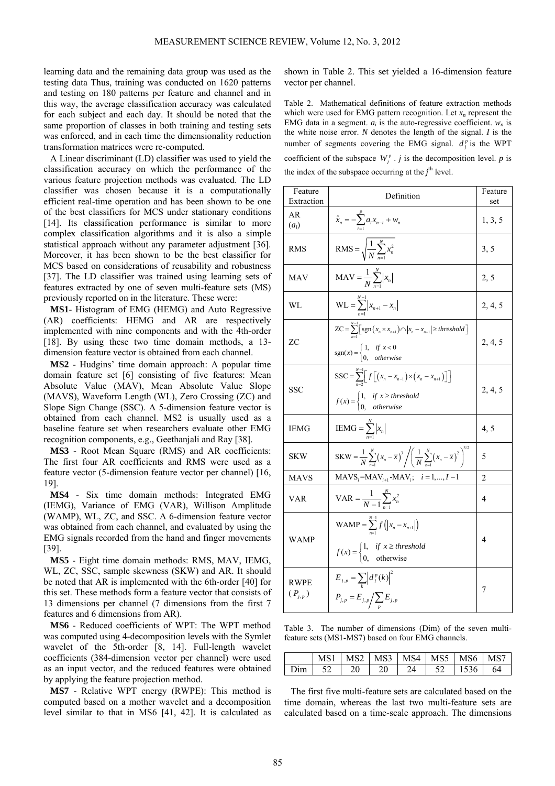learning data and the remaining data group was used as the testing data Thus, training was conducted on 1620 patterns and testing on 180 patterns per feature and channel and in this way, the average classification accuracy was calculated for each subject and each day. It should be noted that the same proportion of classes in both training and testing sets was enforced, and in each time the dimensionality reduction transformation matrices were re-computed.

A Linear discriminant (LD) classifier was used to yield the classification accuracy on which the performance of the various feature projection methods was evaluated. The LD classifier was chosen because it is a computationally efficient real-time operation and has been shown to be one of the best classifiers for MCS under stationary conditions [14]. Its classification performance is similar to more complex classification algorithms and it is also a simple statistical approach without any parameter adjustment [36]. Moreover, it has been shown to be the best classifier for MCS based on considerations of reusability and robustness [37]. The LD classifier was trained using learning sets of features extracted by one of seven multi-feature sets (MS) previously reported on in the literature. These were:

**MS1**- Histogram of EMG (HEMG) and Auto Regressive (AR) coefficients: HEMG and AR are respectively implemented with nine components and with the 4th-order [18]. By using these two time domain methods, a 13 dimension feature vector is obtained from each channel.

**MS2** - Hudgins' time domain approach: A popular time domain feature set [6] consisting of five features: Mean Absolute Value (MAV), Mean Absolute Value Slope (MAVS), Waveform Length (WL), Zero Crossing (ZC) and Slope Sign Change (SSC). A 5-dimension feature vector is obtained from each channel. MS2 is usually used as a baseline feature set when researchers evaluate other EMG recognition components, e.g., Geethanjali and Ray [38].

**MS3** - Root Mean Square (RMS) and AR coefficients: The first four AR coefficients and RMS were used as a feature vector (5-dimension feature vector per channel) [16, 19].

**MS4** - Six time domain methods: Integrated EMG (IEMG), Variance of EMG (VAR), Willison Amplitude (WAMP), WL, ZC, and SSC. A 6-dimension feature vector was obtained from each channel, and evaluated by using the EMG signals recorded from the hand and finger movements [39].

**MS5** - Eight time domain methods: RMS, MAV, IEMG, WL, ZC, SSC, sample skewness (SKW) and AR. It should be noted that AR is implemented with the 6th-order [40] for this set. These methods form a feature vector that consists of 13 dimensions per channel (7 dimensions from the first 7 features and 6 dimensions from AR).

**MS6** - Reduced coefficients of WPT: The WPT method was computed using 4-decomposition levels with the Symlet wavelet of the 5th-order [8, 14]. Full-length wavelet coefficients (384-dimension vector per channel) were used as an input vector, and the reduced features were obtained by applying the feature projection method.

**MS7** - Relative WPT energy (RWPE): This method is computed based on a mother wavelet and a decomposition level similar to that in MS6 [41, 42]. It is calculated as shown in Table 2. This set yielded a 16-dimension feature vector per channel.

Table 2. Mathematical definitions of feature extraction methods which were used for EMG pattern recognition. Let  $x_n$  represent the EMG data in a segment.  $a_i$  is the auto-regressive coefficient.  $w_n$  is the white noise error. *N* denotes the length of the signal. *I* is the number of segments covering the EMG signal.  $d_j^p$  is the WPT coefficient of the subspace  $W_i^p$ . *j* is the decomposition level. *p* is the index of the subspace occurring at the  $j<sup>th</sup>$  level.

| Feature<br>Extraction      | Definition                                                                                                                                                                                         | Feature<br>set |
|----------------------------|----------------------------------------------------------------------------------------------------------------------------------------------------------------------------------------------------|----------------|
| AR<br>$(a_i)$              | $\hat{x}_n = -\sum_{i=1}^{r} a_i x_{n-i} + w_n$                                                                                                                                                    | 1, 3, 5        |
| <b>RMS</b>                 | $RMS = \sqrt{\frac{1}{N} \sum_{n=1}^{N} x_n^2}$                                                                                                                                                    | 3, 5           |
| <b>MAV</b>                 | $\text{MAV} = \frac{1}{N} \sum_{n=1}^{N}  x_n $                                                                                                                                                    | 2, 5           |
| WL                         | $WL = \sum_{n=1}^{N-1}  x_{n+1} - x_n $                                                                                                                                                            | 2, 4, 5        |
| <b>ZC</b>                  | $ZC = \sum_{n=1}^{N-1} \left[ sgn\left(x_n \times x_{n+1}\right) \cap \left  x_n - x_{n+1} \right  \geq threshold \right]$<br>$sgn(x) = \begin{cases} 1, & if x < 0 \\ 0, & otherwise \end{cases}$ | 2, 4, 5        |
| <b>SSC</b>                 | SSC = $\sum_{n=1}^{N-1} [f[(x_n - x_{n-1}) \times (x_n - x_{n+1})]]$<br>$f(x) = \begin{cases} 1, & \text{if } x \geq \text{threshold} \\ 0, & \text{otherwise} \end{cases}$                        | 2, 4, 5        |
| <b>IEMG</b>                | $\text{IEMG} = \sum_{n=1}^{N}  x_n $                                                                                                                                                               | 4, 5           |
| <b>SKW</b>                 | SKW = $\frac{1}{N}\sum_{n=1}^{N}(x_n - \overline{x})^3 / \left(\frac{1}{N}\sum_{n=1}^{N}(x_n - \overline{x})^2\right)^{3/2}$                                                                       | 5              |
| <b>MAVS</b>                | $MAVS_i = MAV_{i+1} - MAV_i$ ; $i = 1,, I - 1$                                                                                                                                                     | $\overline{2}$ |
| <b>VAR</b>                 | $VAR = \frac{1}{N-1} \sum_{n=1}^{N} x_n^2$                                                                                                                                                         | 4              |
| <b>WAMP</b>                | <b>WAMP</b> = $\sum_{n=1}^{N-1} f( x_n - x_{n+1} )$<br>$f(x) = \begin{cases} 1, & \text{if } x \ge \text{threshold} \\ 0, & \text{otherwise} \end{cases}$                                          | 4              |
| <b>RWPE</b><br>$(P_{j,p})$ | $E_{j,p} = \sum_{i} \left  d_j^p(k) \right ^2$<br>$P_{j,p} = E_{j,p} / \sum_{p} E_{j,p}$                                                                                                           | 7              |

Table 3. The number of dimensions (Dim) of the seven multifeature sets (MS1-MS7) based on four EMG channels.

|  | <b>MS2</b> | $MS3$ $MS4$ | $MS5$ 1 | <b>MS6</b> |    |
|--|------------|-------------|---------|------------|----|
|  |            |             |         | 1536       | 64 |

The first five multi-feature sets are calculated based on the time domain, whereas the last two multi-feature sets are calculated based on a time-scale approach. The dimensions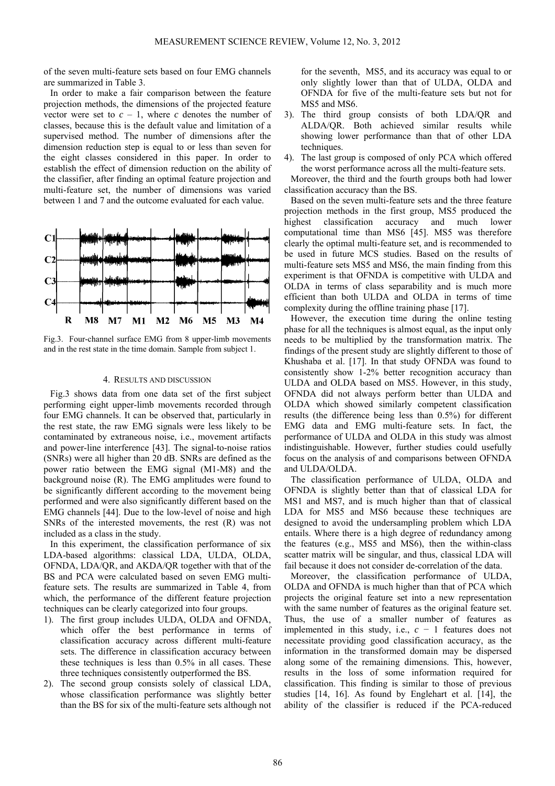of the seven multi-feature sets based on four EMG channels are summarized in Table 3.

In order to make a fair comparison between the feature projection methods, the dimensions of the projected feature vector were set to  $c - 1$ , where *c* denotes the number of classes, because this is the default value and limitation of a supervised method. The number of dimensions after the dimension reduction step is equal to or less than seven for the eight classes considered in this paper. In order to establish the effect of dimension reduction on the ability of the classifier, after finding an optimal feature projection and multi-feature set, the number of dimensions was varied between 1 and 7 and the outcome evaluated for each value.



Fig.3. Four-channel surface EMG from 8 upper-limb movements and in the rest state in the time domain. Sample from subject 1.

### 4. RESULTS AND DISCUSSION

Fig.3 shows data from one data set of the first subject performing eight upper-limb movements recorded through four EMG channels. It can be observed that, particularly in the rest state, the raw EMG signals were less likely to be contaminated by extraneous noise, i.e., movement artifacts and power-line interference [43]. The signal-to-noise ratios (SNRs) were all higher than 20 dB. SNRs are defined as the power ratio between the EMG signal (M1-M8) and the background noise (R). The EMG amplitudes were found to be significantly different according to the movement being performed and were also significantly different based on the EMG channels [44]. Due to the low-level of noise and high SNRs of the interested movements, the rest (R) was not included as a class in the study.

In this experiment, the classification performance of six LDA-based algorithms: classical LDA, ULDA, OLDA, OFNDA, LDA/QR, and AKDA/QR together with that of the BS and PCA were calculated based on seven EMG multifeature sets. The results are summarized in Table 4, from which, the performance of the different feature projection techniques can be clearly categorized into four groups.

- 1). The first group includes ULDA, OLDA and OFNDA, which offer the best performance in terms of classification accuracy across different multi-feature sets. The difference in classification accuracy between these techniques is less than 0.5% in all cases. These three techniques consistently outperformed the BS.
- 2). The second group consists solely of classical LDA, whose classification performance was slightly better than the BS for six of the multi-feature sets although not

for the seventh, MS5, and its accuracy was equal to or only slightly lower than that of ULDA, OLDA and OFNDA for five of the multi-feature sets but not for MS5 and MS6.

- 3). The third group consists of both LDA/QR and ALDA/QR. Both achieved similar results while showing lower performance than that of other LDA techniques.
- 4). The last group is composed of only PCA which offered the worst performance across all the multi-feature sets.

Moreover, the third and the fourth groups both had lower classification accuracy than the BS.

Based on the seven multi-feature sets and the three feature projection methods in the first group, MS5 produced the highest classification accuracy and much lower computational time than MS6 [45]. MS5 was therefore clearly the optimal multi-feature set, and is recommended to be used in future MCS studies. Based on the results of multi-feature sets MS5 and MS6, the main finding from this experiment is that OFNDA is competitive with ULDA and OLDA in terms of class separability and is much more efficient than both ULDA and OLDA in terms of time complexity during the offline training phase [17].

However, the execution time during the online testing phase for all the techniques is almost equal, as the input only needs to be multiplied by the transformation matrix. The findings of the present study are slightly different to those of Khushaba et al. [17]. In that study OFNDA was found to consistently show 1-2% better recognition accuracy than ULDA and OLDA based on MS5. However, in this study, OFNDA did not always perform better than ULDA and OLDA which showed similarly competent classification results (the difference being less than 0.5%) for different EMG data and EMG multi-feature sets. In fact, the performance of ULDA and OLDA in this study was almost indistinguishable. However, further studies could usefully focus on the analysis of and comparisons between OFNDA and ULDA/OLDA.

The classification performance of ULDA, OLDA and OFNDA is slightly better than that of classical LDA for MS1 and MS7, and is much higher than that of classical LDA for MS5 and MS6 because these techniques are designed to avoid the undersampling problem which LDA entails. Where there is a high degree of redundancy among the features (e.g., MS5 and MS6), then the within-class scatter matrix will be singular, and thus, classical LDA will fail because it does not consider de-correlation of the data.

Moreover, the classification performance of ULDA, OLDA and OFNDA is much higher than that of PCA which projects the original feature set into a new representation with the same number of features as the original feature set. Thus, the use of a smaller number of features as implemented in this study, i.e.,  $c - 1$  features does not necessitate providing good classification accuracy, as the information in the transformed domain may be dispersed along some of the remaining dimensions. This, however, results in the loss of some information required for classification. This finding is similar to those of previous studies [14, 16]. As found by Englehart et al. [14], the ability of the classifier is reduced if the PCA-reduced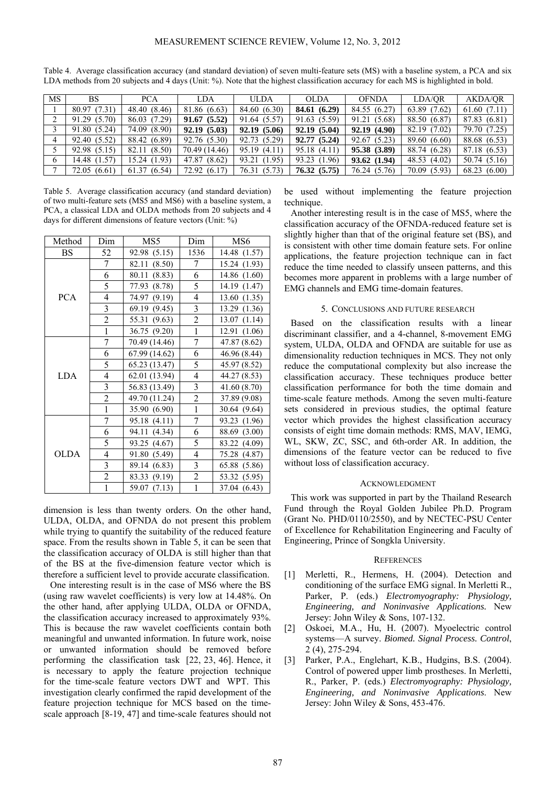| MS. | <b>BS</b>    | <b>PCA</b>   | LDA           | <b>ULDA</b>  | OLDA         | <b>OFNDA</b>    | LDA/OR       | AKDA/OR      |
|-----|--------------|--------------|---------------|--------------|--------------|-----------------|--------------|--------------|
|     | 80.97 (7.31) | 48.40 (8.46) | 81.86 (6.63)  | 84.60 (6.30) | 84.61 (6.29) | 84.55 (6.27)    | 63.89 (7.62) | 61.60(7.11)  |
|     | 91.29 (5.70) | 86.03 (7.29) | 91.67(5.52)   | 91.64 (5.57) | 91.63 (5.59) | (5.68)<br>91.21 | 88.50 (6.87) | 87.83 (6.81) |
|     | 91.80 (5.24) | 74.09 (8.90) | 92.19(5.03)   | 92.19(5.06)  | 92.19(5.04)  | 92.19(4.90)     | 82.19 (7.02) | 79.70 (7.25) |
|     | 92.40 (5.52) | 88.42 (6.89) | 92.76 (5.30)  | 92.73 (5.29) | 92.77(5.24)  | 92.67(5.23)     | 89.60 (6.60) | 88.68 (6.53) |
|     | 92.98 (5.15) | 82.11 (8.50) | 70.49 (14.46) | 95.19 (4.11) | 95.18 (4.11) | 95.38 (3.89)    | 88.74 (6.28) | 87.18 (6.53) |
| 6   | 14.48 (1.57) | 15.24 (1.93) | 47.87 (8.62)  | 93.21 (1.95) | 93.23 (1.96) | 93.62(1.94)     | 48.53 (4.02) | 50.74 (5.16) |
|     | 72.05 (6.61) | 61.37(6.54)  | 72.92 (6.17)  | 76.31 (5.73) | 76.32(5.75)  | 76.24 (5.76)    | 70.09 (5.93) | 68.23(6.00)  |

Table 4. Average classification accuracy (and standard deviation) of seven multi-feature sets (MS) with a baseline system, a PCA and six LDA methods from 20 subjects and 4 days (Unit: %). Note that the highest classification accuracy for each MS is highlighted in bold.

Table 5. Average classification accuracy (and standard deviation) of two multi-feature sets (MS5 and MS6) with a baseline system, a PCA, a classical LDA and OLDA methods from 20 subjects and 4 days for different dimensions of feature vectors (Unit: %)

| Method      | Dim                      | MS5             | Dim                      | MS <sub>6</sub> |
|-------------|--------------------------|-----------------|--------------------------|-----------------|
| BS          | 52                       | 92.98 (5.15)    | 1536                     | 14.48 (1.57)    |
|             | 7                        | 82.11<br>(8.50) | 7                        | 15.24<br>(1.93) |
|             | 6                        | 80.11<br>(8.83) | 6                        | 14.86 (1.60)    |
|             | 5                        | 77.93<br>(8.78) | 5                        | 14.19<br>(1.47) |
| <b>PCA</b>  | 4                        | (9.19)<br>74.97 | $\overline{4}$           | 13.60<br>(1.35) |
|             | 3                        | 69.19 (9.45)    | $\mathfrak{Z}$           | 13.29 (1.36)    |
|             | $\overline{c}$           | 55.31 (9.63)    | $\overline{c}$           | 13.07(1.14)     |
|             | $\mathbf{1}$             | 36.75 (9.20)    | $\mathbf{1}$             | 12.91 (1.06)    |
|             | 7                        | 70.49 (14.46)   | $\overline{7}$           | 47.87 (8.62)    |
|             | 6                        | 67.99 (14.62)   | 6                        | 46.96 (8.44)    |
|             | 5                        | 65.23 (13.47)   | 5                        | 45.97 (8.52)    |
| LDA         | $\overline{\mathcal{A}}$ | 62.01 (13.94)   | $\overline{\mathcal{L}}$ | 44.27 (8.53)    |
|             | 3                        | 56.83 (13.49)   | 3                        | 41.60 (8.70)    |
|             | $\overline{c}$           | 49.70 (11.24)   | $\overline{2}$           | 37.89 (9.08)    |
|             | $\mathbf{1}$             | 35.90 (6.90)    | $\mathbf{1}$             | 30.64 (9.64)    |
|             | $\overline{7}$           | 95.18 (4.11)    | 7                        | 93.23 (1.96)    |
|             | 6                        | 94.11<br>(4.34) | 6                        | 88.69 (3.00)    |
|             | 5                        | 93.25 (4.67)    | 5                        | 83.22 (4.09)    |
| <b>OLDA</b> | $\overline{\mathcal{A}}$ | 91.80 (5.49)    | $\overline{\mathcal{L}}$ | 75.28 (4.87)    |
|             | $\mathfrak{Z}$           | 89.14 (6.83)    | 3                        | 65.88 (5.86)    |
|             | $\overline{c}$           | 83.33 (9.19)    | $\overline{2}$           | 53.32 (5.95)    |
|             | $\overline{1}$           | 59.07 (7.13)    | $\mathbf{1}$             | 37.04 (6.43)    |

dimension is less than twenty orders. On the other hand, ULDA, OLDA, and OFNDA do not present this problem while trying to quantify the suitability of the reduced feature space. From the results shown in Table 5, it can be seen that the classification accuracy of OLDA is still higher than that of the BS at the five-dimension feature vector which is therefore a sufficient level to provide accurate classification.

One interesting result is in the case of MS6 where the BS (using raw wavelet coefficients) is very low at 14.48%. On the other hand, after applying ULDA, OLDA or OFNDA, the classification accuracy increased to approximately 93%. This is because the raw wavelet coefficients contain both meaningful and unwanted information. In future work, noise or unwanted information should be removed before performing the classification task [22, 23, 46]. Hence, it is necessary to apply the feature projection technique for the time-scale feature vectors DWT and WPT. This investigation clearly confirmed the rapid development of the feature projection technique for MCS based on the timescale approach [8-19, 47] and time-scale features should not be used without implementing the feature projection technique.

Another interesting result is in the case of MS5, where the classification accuracy of the OFNDA-reduced feature set is slightly higher than that of the original feature set (BS), and is consistent with other time domain feature sets. For online applications, the feature projection technique can in fact reduce the time needed to classify unseen patterns, and this becomes more apparent in problems with a large number of EMG channels and EMG time-domain features.

#### 5. CONCLUSIONS AND FUTURE RESEARCH

Based on the classification results with a linear discriminant classifier, and a 4-channel, 8-movement EMG system, ULDA, OLDA and OFNDA are suitable for use as dimensionality reduction techniques in MCS. They not only reduce the computational complexity but also increase the classification accuracy. These techniques produce better classification performance for both the time domain and time-scale feature methods. Among the seven multi-feature sets considered in previous studies, the optimal feature vector which provides the highest classification accuracy consists of eight time domain methods: RMS, MAV, IEMG, WL, SKW, ZC, SSC, and 6th-order AR. In addition, the dimensions of the feature vector can be reduced to five without loss of classification accuracy.

#### ACKNOWLEDGMENT

This work was supported in part by the Thailand Research Fund through the Royal Golden Jubilee Ph.D. Program (Grant No. PHD/0110/2550), and by NECTEC-PSU Center of Excellence for Rehabilitation Engineering and Faculty of Engineering, Prince of Songkla University.

#### **REFERENCES**

- [1] Merletti, R., Hermens, H. (2004). Detection and conditioning of the surface EMG signal. In Merletti R., Parker, P. (eds.) *Electromyography: Physiology, Engineering, and Noninvasive Applications.* New Jersey: John Wiley & Sons, 107-132.
- [2] Oskoei, M.A., Hu, H. (2007). Myoelectric control systems—A survey. *Biomed. Signal Process. Control*, 2 (4), 275-294.
- [3] Parker, P.A., Englehart, K.B., Hudgins, B.S. (2004). Control of powered upper limb prostheses. In Merletti, R., Parker, P. (eds.) *Electromyography: Physiology, Engineering, and Noninvasive Applications*. New Jersey: John Wiley & Sons, 453-476.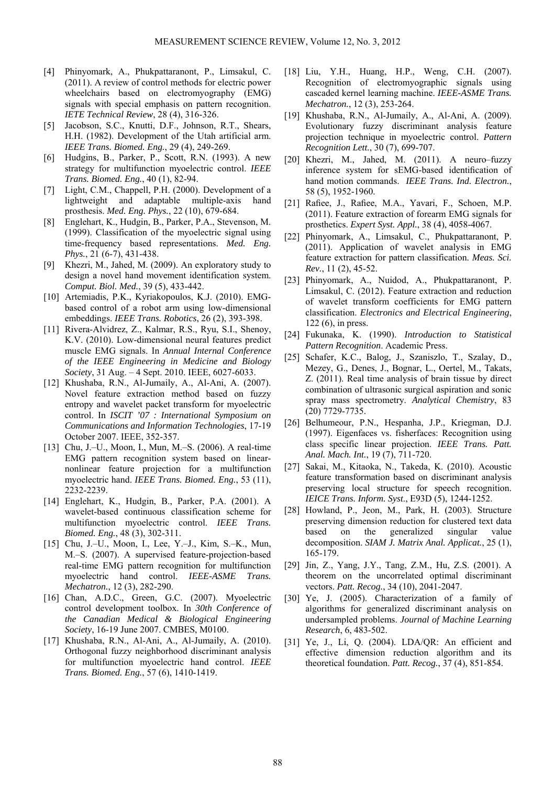- [4] Phinyomark, A., Phukpattaranont, P., Limsakul, C. (2011). A review of control methods for electric power wheelchairs based on electromyography (EMG) signals with special emphasis on pattern recognition. *IETE Technical Review*, 28 (4), 316-326.
- [5] Jacobson, S.C., Knutti, D.F., Johnson, R.T., Shears, H.H. (1982). Development of the Utah artificial arm. *IEEE Trans. Biomed. Eng.*, 29 (4), 249-269.
- [6] Hudgins, B., Parker, P., Scott, R.N. (1993). A new strategy for multifunction myoelectric control. *IEEE Trans. Biomed. Eng.*, 40 (1), 82-94.
- [7] Light, C.M., Chappell, P.H. (2000). Development of a lightweight and adaptable multiple-axis hand prosthesis. *Med. Eng. Phys.*, 22 (10), 679-684.
- [8] Englehart, K., Hudgin, B., Parker, P.A., Stevenson, M. (1999). Classification of the myoelectric signal using time-frequency based representations. *Med. Eng. Phys.*, 21 (6-7), 431-438.
- [9] Khezri, M., Jahed, M. (2009). An exploratory study to design a novel hand movement identification system. *Comput. Biol. Med.*, 39 (5), 433-442.
- [10] Artemiadis, P.K., Kyriakopoulos, K.J. (2010). EMGbased control of a robot arm using low-dimensional embeddings. *IEEE Trans. Robotics*, 26 (2), 393-398.
- [11] Rivera-Alvidrez, Z., Kalmar, R.S., Ryu, S.I., Shenoy, K.V. (2010). Low-dimensional neural features predict muscle EMG signals. In *Annual Internal Conference of the IEEE Engineering in Medicine and Biology Society*, 31 Aug. – 4 Sept. 2010. IEEE, 6027-6033.
- [12] Khushaba, R.N., Al-Jumaily, A., Al-Ani, A. (2007). Novel feature extraction method based on fuzzy entropy and wavelet packet transform for myoelectric control. In *ISCIT '07 : International Symposium on Communications and Information Technologies*, 17-19 October 2007. IEEE, 352-357.
- [13] Chu, J.–U., Moon, I., Mun, M.–S. (2006). A real-time EMG pattern recognition system based on linearnonlinear feature projection for a multifunction myoelectric hand. *IEEE Trans. Biomed. Eng.*, 53 (11), 2232-2239.
- [14] Englehart, K., Hudgin, B., Parker, P.A. (2001). A wavelet-based continuous classification scheme for multifunction myoelectric control. *IEEE Trans. Biomed. Eng.*, 48 (3), 302-311.
- [15] Chu, J.–U., Moon, I., Lee, Y.–J., Kim, S.–K., Mun, M.–S. (2007). A supervised feature-projection-based real-time EMG pattern recognition for multifunction myoelectric hand control. *IEEE-ASME Trans. Mechatron.*, 12 (3), 282-290.
- [16] Chan, A.D.C., Green, G.C. (2007). Myoelectric control development toolbox. In *30th Conference of the Canadian Medical & Biological Engineering Society*, 16-19 June 2007. CMBES, M0100.
- [17] Khushaba, R.N., Al-Ani, A., Al-Jumaily, A. (2010). Orthogonal fuzzy neighborhood discriminant analysis for multifunction myoelectric hand control. *IEEE Trans. Biomed. Eng.*, 57 (6), 1410-1419.
- [18] Liu, Y.H., Huang, H.P., Weng, C.H. (2007). Recognition of electromyographic signals using cascaded kernel learning machine. *IEEE-ASME Trans. Mechatron.*, 12 (3), 253-264.
- [19] Khushaba, R.N., Al-Jumaily, A., Al-Ani, A. (2009). Evolutionary fuzzy discriminant analysis feature projection technique in myoelectric control. *Pattern Recognition Lett.*, 30 (7), 699-707.
- [20] Khezri, M., Jahed, M. (2011). A neuro–fuzzy inference system for sEMG-based identification of hand motion commands. *IEEE Trans. Ind. Electron.*, 58 (5), 1952-1960.
- [21] Rafiee, J., Rafiee, M.A., Yavari, F., Schoen, M.P. (2011). Feature extraction of forearm EMG signals for prosthetics. *Expert Syst. Appl.*, 38 (4), 4058-4067.
- [22] Phinyomark, A., Limsakul, C., Phukpattaranont, P. (2011). Application of wavelet analysis in EMG feature extraction for pattern classification. *Meas. Sci. Rev.*, 11 (2), 45-52.
- [23] Phinyomark, A., Nuidod, A., Phukpattaranont, P. Limsakul, C. (2012). Feature extraction and reduction of wavelet transform coefficients for EMG pattern classification. *Electronics and Electrical Engineering*, 122 (6), in press.
- [24] Fukunaka, K. (1990). *Introduction to Statistical Pattern Recognition*. Academic Press.
- [25] Schafer, K.C., Balog, J., Szaniszlo, T., Szalay, D., Mezey, G., Denes, J., Bognar, L., Oertel, M., Takats, Z. (2011). Real time analysis of brain tissue by direct combination of ultrasonic surgical aspiration and sonic spray mass spectrometry. *Analytical Chemistry*, 83 (20) 7729-7735.
- [26] Belhumeour, P.N., Hespanha, J.P., Kriegman, D.J. (1997). Eigenfaces vs. fisherfaces: Recognition using class specific linear projection. *IEEE Trans. Patt. Anal. Mach. Int.*, 19 (7), 711-720.
- [27] Sakai, M., Kitaoka, N., Takeda, K. (2010). Acoustic feature transformation based on discriminant analysis preserving local structure for speech recognition. *IEICE Trans. Inform. Syst*., E93D (5), 1244-1252.
- [28] Howland, P., Jeon, M., Park, H. (2003). Structure preserving dimension reduction for clustered text data based on the generalized singular value decomposition. *SIAM J. Matrix Anal. Applicat.*, 25 (1), 165-179.
- [29] Jin, Z., Yang, J.Y., Tang, Z.M., Hu, Z.S. (2001). A theorem on the uncorrelated optimal discriminant vectors. *Patt. Recog.*, 34 (10), 2041-2047.
- [30] Ye, J. (2005). Characterization of a family of algorithms for generalized discriminant analysis on undersampled problems. *Journal of Machine Learning Research*, 6, 483-502.
- [31] Ye, J., Li, Q. (2004). LDA/QR: An efficient and effective dimension reduction algorithm and its theoretical foundation. *Patt. Recog.*, 37 (4), 851-854.